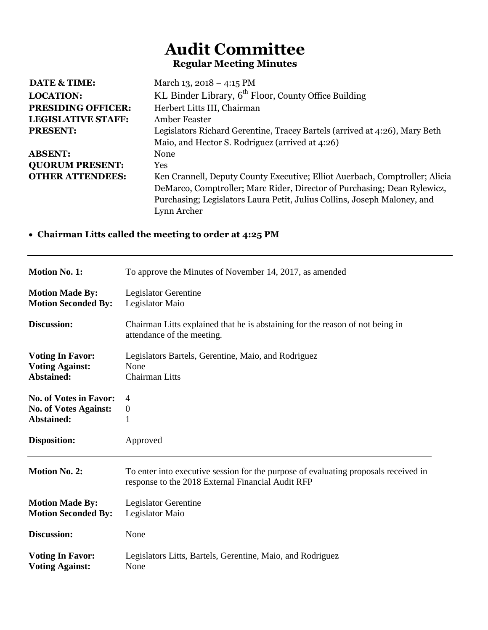## **Audit Committee Regular Meeting Minutes**

| DATE & TIME:              | March 13, 2018 – 4:15 PM                                                    |
|---------------------------|-----------------------------------------------------------------------------|
| <b>LOCATION:</b>          | KL Binder Library, $6th$ Floor, County Office Building                      |
| <b>PRESIDING OFFICER:</b> | Herbert Litts III, Chairman                                                 |
| <b>LEGISLATIVE STAFF:</b> | Amber Feaster                                                               |
| <b>PRESENT:</b>           | Legislators Richard Gerentine, Tracey Bartels (arrived at 4:26), Mary Beth  |
|                           | Maio, and Hector S. Rodriguez (arrived at 4:26)                             |
| <b>ABSENT:</b>            | None                                                                        |
| <b>QUORUM PRESENT:</b>    | <b>Yes</b>                                                                  |
| <b>OTHER ATTENDEES:</b>   | Ken Crannell, Deputy County Executive; Elliot Auerbach, Comptroller; Alicia |
|                           | DeMarco, Comptroller; Marc Rider, Director of Purchasing; Dean Rylewicz,    |
|                           | Purchasing; Legislators Laura Petit, Julius Collins, Joseph Maloney, and    |
|                           | Lynn Archer                                                                 |

## **Chairman Litts called the meeting to order at 4:25 PM**

| <b>Motion No. 1:</b>          | To approve the Minutes of November 14, 2017, as amended                                                                                  |
|-------------------------------|------------------------------------------------------------------------------------------------------------------------------------------|
| <b>Motion Made By:</b>        | Legislator Gerentine                                                                                                                     |
| <b>Motion Seconded By:</b>    | Legislator Maio                                                                                                                          |
| Discussion:                   | Chairman Litts explained that he is abstaining for the reason of not being in<br>attendance of the meeting.                              |
| <b>Voting In Favor:</b>       | Legislators Bartels, Gerentine, Maio, and Rodriguez                                                                                      |
| <b>Voting Against:</b>        | None                                                                                                                                     |
| Abstained:                    | <b>Chairman Litts</b>                                                                                                                    |
| <b>No. of Votes in Favor:</b> | 4                                                                                                                                        |
| <b>No. of Votes Against:</b>  | $\boldsymbol{0}$                                                                                                                         |
| Abstained:                    | 1                                                                                                                                        |
| <b>Disposition:</b>           | Approved                                                                                                                                 |
| <b>Motion No. 2:</b>          | To enter into executive session for the purpose of evaluating proposals received in<br>response to the 2018 External Financial Audit RFP |
| <b>Motion Made By:</b>        | <b>Legislator Gerentine</b>                                                                                                              |
| <b>Motion Seconded By:</b>    | Legislator Maio                                                                                                                          |
| Discussion:                   | None                                                                                                                                     |
| <b>Voting In Favor:</b>       | Legislators Litts, Bartels, Gerentine, Maio, and Rodriguez                                                                               |
| <b>Voting Against:</b>        | None                                                                                                                                     |